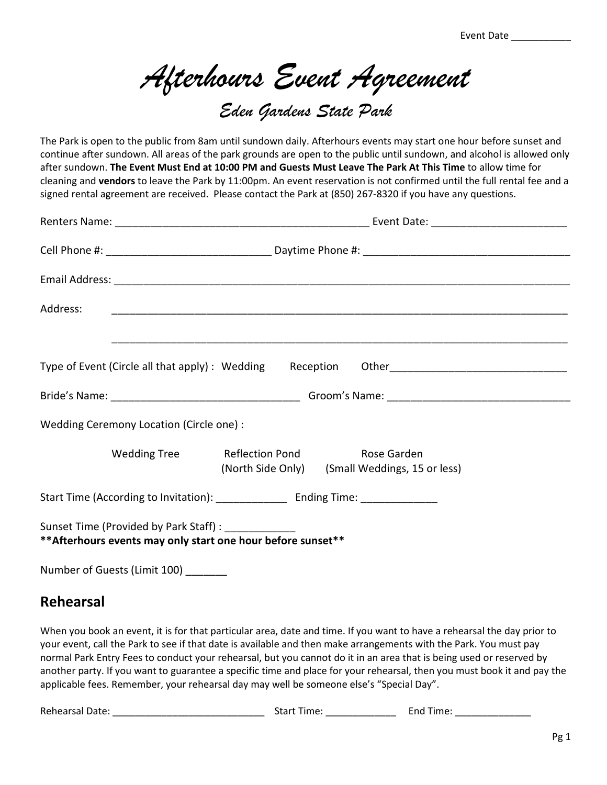Event Date \_\_\_\_\_\_\_\_\_\_\_

*Afterhours Event Agreement* 

## *Eden Gardens State Park*

The Park is open to the public from 8am until sundown daily. Afterhours events may start one hour before sunset and continue after sundown. All areas of the park grounds are open to the public until sundown, and alcohol is allowed only after sundown. **The Event Must End at 10:00 PM and Guests Must Leave The Park At This Time** to allow time for cleaning and **vendors** to leave the Park by 11:00pm. An event reservation is not confirmed until the full rental fee and a signed rental agreement are received. Please contact the Park at (850) 267-8320 if you have any questions.

| Wedding Ceremony Location (Circle one) :                                                                           |                                                               |  |
|--------------------------------------------------------------------------------------------------------------------|---------------------------------------------------------------|--|
| Wedding Tree Reflection Pond                                                                                       | Rose Garden<br>(North Side Only) (Small Weddings, 15 or less) |  |
|                                                                                                                    |                                                               |  |
| Sunset Time (Provided by Park Staff) : ___________<br>** Afterhours events may only start one hour before sunset** |                                                               |  |
| Number of Guests (Limit 100) _______                                                                               |                                                               |  |

## **Rehearsal**

When you book an event, it is for that particular area, date and time. If you want to have a rehearsal the day prior to your event, call the Park to see if that date is available and then make arrangements with the Park. You must pay normal Park Entry Fees to conduct your rehearsal, but you cannot do it in an area that is being used or reserved by another party. If you want to guarantee a specific time and place for your rehearsal, then you must book it and pay the applicable fees. Remember, your rehearsal day may well be someone else's "Special Day".

Rehearsal Date: \_\_\_\_\_\_\_\_\_\_\_\_\_\_\_\_\_\_\_\_\_\_\_\_\_\_\_\_ Start Time: \_\_\_\_\_\_\_\_\_\_\_\_\_ End Time: \_\_\_\_\_\_\_\_\_\_\_\_\_\_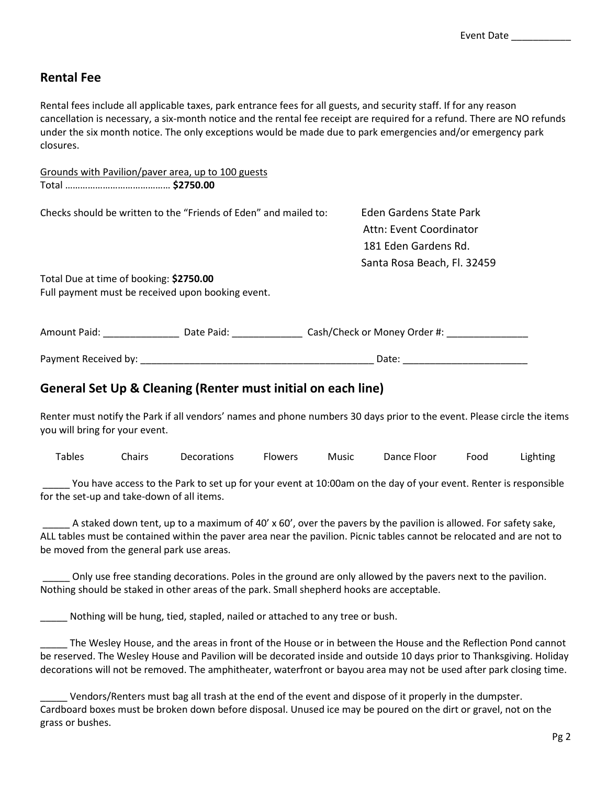## **Rental Fee**

Rental fees include all applicable taxes, park entrance fees for all guests, and security staff. If for any reason cancellation is necessary, a six-month notice and the rental fee receipt are required for a refund. There are NO refunds under the six month notice. The only exceptions would be made due to park emergencies and/or emergency park closures.

|                                         | Grounds with Pavilion/paver area, up to 100 guests               |                                                                                                           |  |
|-----------------------------------------|------------------------------------------------------------------|-----------------------------------------------------------------------------------------------------------|--|
|                                         | Checks should be written to the "Friends of Eden" and mailed to: | Eden Gardens State Park<br>Attn: Event Coordinator<br>181 Eden Gardens Rd.<br>Santa Rosa Beach, Fl. 32459 |  |
| Total Due at time of booking: \$2750.00 | Full payment must be received upon booking event.                |                                                                                                           |  |
|                                         | Amount Paid: Date Paid:                                          | Cash/Check or Money Order #:                                                                              |  |
| Payment Received by:                    |                                                                  | Date:                                                                                                     |  |

## **General Set Up & Cleaning (Renter must initial on each line)**

Renter must notify the Park if all vendors' names and phone numbers 30 days prior to the event. Please circle the items you will bring for your event.

Tables Chairs Decorations Flowers Music Dance Floor Food Lighting

 \_\_\_\_\_ You have access to the Park to set up for your event at 10:00am on the day of your event. Renter is responsible for the set-up and take-down of all items.

A staked down tent, up to a maximum of 40' x 60', over the pavers by the pavilion is allowed. For safety sake, ALL tables must be contained within the paver area near the pavilion. Picnic tables cannot be relocated and are not to be moved from the general park use areas.

Only use free standing decorations. Poles in the ground are only allowed by the pavers next to the pavilion. Nothing should be staked in other areas of the park. Small shepherd hooks are acceptable.

Nothing will be hung, tied, stapled, nailed or attached to any tree or bush.

The Wesley House, and the areas in front of the House or in between the House and the Reflection Pond cannot be reserved. The Wesley House and Pavilion will be decorated inside and outside 10 days prior to Thanksgiving. Holiday decorations will not be removed. The amphitheater, waterfront or bayou area may not be used after park closing time.

\_\_\_\_\_ Vendors/Renters must bag all trash at the end of the event and dispose of it properly in the dumpster. Cardboard boxes must be broken down before disposal. Unused ice may be poured on the dirt or gravel, not on the grass or bushes.